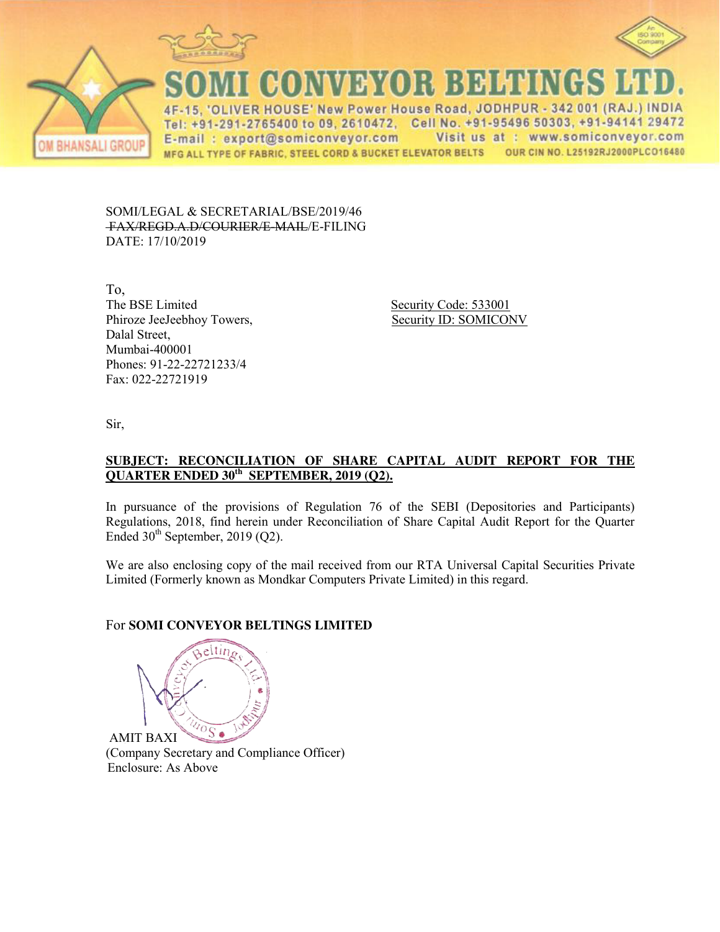





CONVEYOR BELTINGS

IVER HOUSE' New Power House Road, JODHPUR - 342 001 (RAJ.) INDIA  $\Delta F$ Tel: +91-291-2765400 to 09, 2610472, Cell No. +91-95496 50303, +91-94141 29472 Visit us at : www.somiconveyor.com E-mail: export@somiconveyor.com OUR CIN NO. L25192RJ2000PLCO16480 MFG ALL TYPE OF FABRIC, STEEL CORD & BUCKET ELEVATOR BELTS

SOMI/LEGAL & SECRETARIAL/BSE/2019/46 FAX/REGD.A.D/COURIER/E-MAIL/E-FILING DATE: 17/10/2019

To, The BSE Limited Security Code: 533001 Phiroze JeeJeebhoy Towers, Security ID: SOMICONV Dalal Street, Mumbai-400001 Phones: 91-22-22721233/4 Fax: 022-22721919

Sir,

### **SUBJECT: RECONCILIATION OF SHARE CAPITAL AUDIT REPORT FOR THE QUARTER ENDED 30th SEPTEMBER, 2019 (Q2).**

In pursuance of the provisions of Regulation 76 of the SEBI (Depositories and Participants) Regulations, 2018, find herein under Reconciliation of Share Capital Audit Report for the Quarter Ended  $30<sup>th</sup>$  September, 2019 (Q2).

We are also enclosing copy of the mail received from our RTA Universal Capital Securities Private Limited (Formerly known as Mondkar Computers Private Limited) in this regard.

# For **SOMI CONVEYOR BELTINGS LIMITED**

eltin $\epsilon$  $\sqrt[1]{\frac{1}{10S}}$ AMIT BAXI

(Company Secretary and Compliance Officer) Enclosure: As Above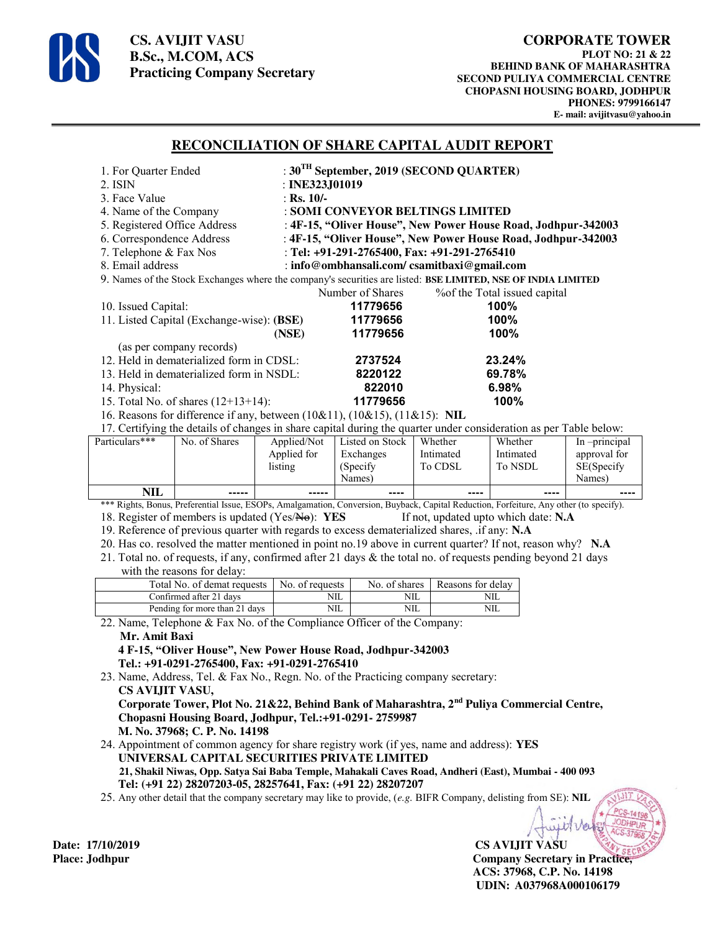

**CS. AVIJIT VASU B.Sc., M.COM, ACS Practicing Company Secretary** 

### **RECONCILIATION OF SHARE CAPITAL AUDIT REPORT**

| 1. For Quarter Ended                                                                                         | : $30^{\text{TH}}$ September, 2019 (SECOND QUARTER)           |                                                                                                                 |  |  |  |
|--------------------------------------------------------------------------------------------------------------|---------------------------------------------------------------|-----------------------------------------------------------------------------------------------------------------|--|--|--|
| 2. ISIN                                                                                                      | : INE323, J $01019$                                           |                                                                                                                 |  |  |  |
| 3. Face Value                                                                                                | : Rs. $10/-$                                                  |                                                                                                                 |  |  |  |
| 4. Name of the Company                                                                                       | : SOMI CONVEYOR BELTINGS LIMITED                              |                                                                                                                 |  |  |  |
| 5. Registered Office Address                                                                                 | : 4F-15, "Oliver House", New Power House Road, Jodhpur-342003 |                                                                                                                 |  |  |  |
| 6. Correspondence Address                                                                                    | : 4F-15, "Oliver House", New Power House Road, Jodhpur-342003 |                                                                                                                 |  |  |  |
| 7. Telephone & Fax Nos                                                                                       | : Tel: +91-291-2765400, Fax: +91-291-2765410                  |                                                                                                                 |  |  |  |
| 8. Email address                                                                                             | : info@ombhansali.com/csamitbaxi@gmail.com                    |                                                                                                                 |  |  |  |
| 9. Names of the Stock Exchanges where the company's securities are listed: BSE LIMITED, NSE OF INDIA LIMITED |                                                               |                                                                                                                 |  |  |  |
|                                                                                                              | Number of Shares                                              | % % of the Total issued capital                                                                                 |  |  |  |
| 10. Issued Capital:                                                                                          | 11779656                                                      | 100%                                                                                                            |  |  |  |
| 11. Listed Capital (Exchange-wise): (BSE)                                                                    | 11779656                                                      | 100%                                                                                                            |  |  |  |
|                                                                                                              | 11779656<br>(NSE)                                             | 100%                                                                                                            |  |  |  |
| (as per company records)                                                                                     |                                                               |                                                                                                                 |  |  |  |
| 12. Held in dematerialized form in CDSL:                                                                     | 2737524                                                       | 23.24%                                                                                                          |  |  |  |
| 13. Held in dematerialized form in NSDL:                                                                     | 8220122                                                       | 69.78%                                                                                                          |  |  |  |
| 14. Physical:                                                                                                | 822010                                                        | 6.98%                                                                                                           |  |  |  |
| 15. Total No. of shares $(12+13+14)$ :                                                                       | 11779656                                                      | 100%                                                                                                            |  |  |  |
| 16. Reasons for difference if any, between $(10\&11)$ , $(10\&15)$ , $(11\&15)$ : NIL                        |                                                               |                                                                                                                 |  |  |  |
|                                                                                                              |                                                               | 17 Certifying the details of changes in share capital during the quarter under consideration as ner Table below |  |  |  |

17. Certifying the details of changes in share capital during the quarter under consideration as per Table below:

| Particulars*** | No. of Shares | Applied/Not<br>Applied for | Listed on Stock<br>Exchanges | Whether<br>Intimated | Whether<br>Intimated | In -principal<br>approval for |
|----------------|---------------|----------------------------|------------------------------|----------------------|----------------------|-------------------------------|
|                |               | listing                    | (Specify)                    | To CDSL              | To NSDL              | SE(Specify                    |
|                |               |                            | Names)                       |                      |                      | Names)                        |
| <b>NIL</b>     | -----         | -----                      | $- - - -$                    | ----                 | ----                 | $- - - -$                     |

\*\*\* Rights, Bonus, Preferential Issue, ESOPs, Amalgamation, Conversion, Buyback, Capital Reduction, Forfeiture, Any other (to specify). 18. Register of members is updated (Yes/No): **YES** If not, updated upto which date: **N.A**

19. Reference of previous quarter with regards to excess dematerialized shares, .if any: **N.A**

20. Has co. resolved the matter mentioned in point no.19 above in current quarter? If not, reason why? **N.A**

21. Total no. of requests, if any, confirmed after 21 days & the total no. of requests pending beyond 21 days with the reasons for delay:

| Total No. of demat requests   | No. of requests | No. of shares | Reasons for delay |
|-------------------------------|-----------------|---------------|-------------------|
| Confirmed after 21 davs       | NIL             | NIL           | NШ                |
| Pending for more than 21 days | NIL             | NIL           | NШ                |

22. Name, Telephone & Fax No. of the Compliance Officer of the Company:

#### **Mr. Amit Baxi**

 **4 F-15, "Oliver House", New Power House Road, Jodhpur-342003 Tel.: +91-0291-2765400, Fax: +91-0291-2765410** 

23. Name, Address, Tel. & Fax No., Regn. No. of the Practicing company secretary:  **CS AVIJIT VASU, Corporate Tower, Plot No. 21&22, Behind Bank of Maharashtra, 2nd Puliya Commercial Centre, Chopasni Housing Board, Jodhpur, Tel.:+91-0291- 2759987 M. No. 37968; C. P. No. 14198** 

24. Appointment of common agency for share registry work (if yes, name and address): **YES UNIVERSAL CAPITAL SECURITIES PRIVATE LIMITED 21, Shakil Niwas, Opp. Satya Sai Baba Temple, Mahakali Caves Road, Andheri (East), Mumbai - 400 093 Tel: (+91 22) 28207203-05, 28257641, Fax: (+91 22) 28207207**

25. Any other detail that the company secretary may like to provide, (*e.g.* BIFR Company, delisting from SE): **NIL**

**Date: 17/10/2019 CS AVIJIT VASU Place: Jodhpur Company Secretary in Practice, ACS: 37968, C.P. No. 14198 UDIN: A037968A000106179**